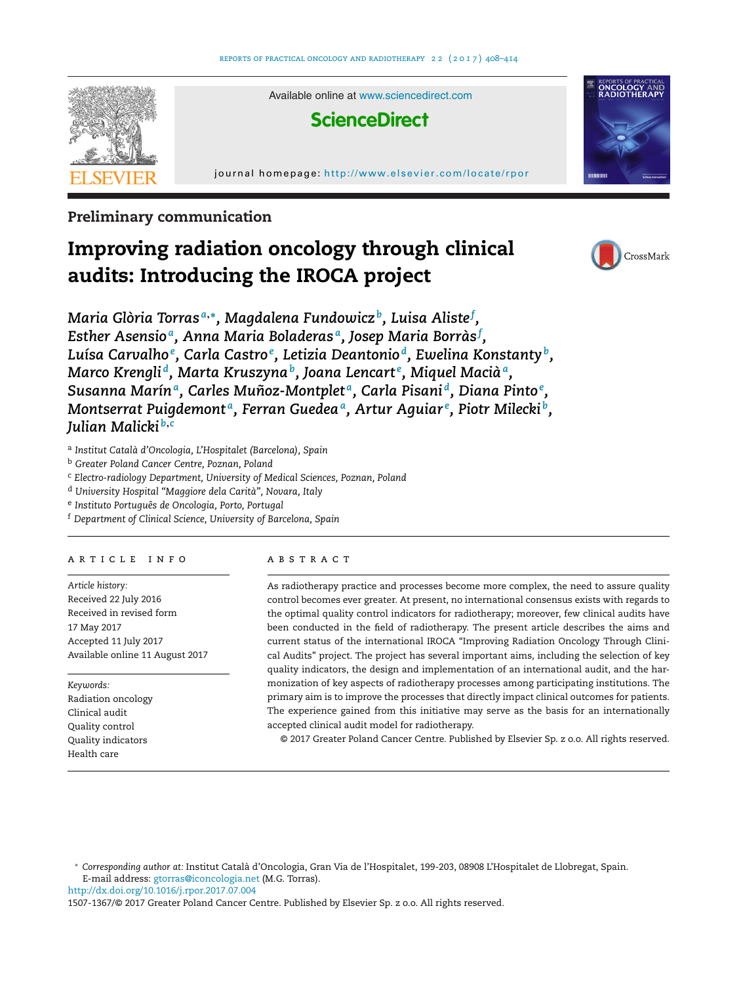

**Preliminary communication**

# **Improving radiation oncology through clinical audits: Introducing the IROCA project**



*Maria Glòria Torras <sup>a</sup>***,∗***, Magdalena Fundowicz b, Luisa Aliste<sup>f</sup> , Esther Asensio a, Anna Maria Boladeras a, Josep Maria Borràs<sup>f</sup> , Luísa Carvalho<sup>e</sup> , Carla Castro<sup>e</sup> , Letizia Deantonio d, Ewelina Konstanty b, Marco Krengli d, Marta Kruszynab, Joana Lencart <sup>e</sup> , Miquel Maciàa, Susanna Marína, Carles Munoz-Montplet ˜ a, Carla Pisani d, Diana Pinto<sup>e</sup> , Montserrat Puigdemont a, Ferran Guedeaa, Artur Aguiar <sup>e</sup> , Piotr Milecki b, Julian Malicki <sup>b</sup>***,***<sup>c</sup>*

<sup>a</sup> *Institut Català d'Oncologia, L'Hospitalet (Barcelona), Spain*

<sup>b</sup> *Greater Poland Cancer Centre, Poznan, Poland*

<sup>c</sup> *Electro-radiology Department, University of Medical Sciences, Poznan, Poland*

<sup>d</sup> *University Hospital "Maggiore dela Carità", Novara, Italy*

<sup>e</sup> *Instituto Português de Oncologia, Porto, Portugal*

<sup>f</sup> *Department of Clinical Science, University of Barcelona, Spain*

## a r t i c l e i n f o

*Article history:* Received 22 July 2016 Received in revised form 17 May 2017 Accepted 11 July 2017 Available online 11 August 2017

*Keywords:* Radiation oncology Clinical audit Quality control Quality indicators Health care

#### a b s t r a c t

As radiotherapy practice and processes become more complex, the need to assure quality control becomes ever greater. At present, no international consensus exists with regards to the optimal quality control indicators for radiotherapy; moreover, few clinical audits have been conducted in the field of radiotherapy. The present article describes the aims and current status of the international IROCA "Improving Radiation Oncology Through Clinical Audits" project. The project has several important aims, including the selection of key quality indicators, the design and implementation of an international audit, and the harmonization of key aspects of radiotherapy processes among participating institutions. The primary aim is to improve the processes that directly impact clinical outcomes for patients. The experience gained from this initiative may serve as the basis for an internationally accepted clinical audit model for radiotherapy.

© 2017 Greater Poland Cancer Centre. Published by Elsevier Sp. z o.o. All rights reserved.

∗ *Corresponding author at:* Institut Català d'Oncologia, Gran Via de l'Hospitalet, 199-203, 08908 L'Hospitalet de Llobregat, Spain. E-mail address: [gtorras@iconcologia.net](mailto:gtorras@iconcologia.net) (M.G. Torras).

[http://dx.doi.org/10.1016/j.rpor.2017.07.004](dx.doi.org/10.1016/j.rpor.2017.07.004)

<sup>1507-1367/©</sup> 2017 Greater Poland Cancer Centre. Published by Elsevier Sp. z o.o. All rights reserved.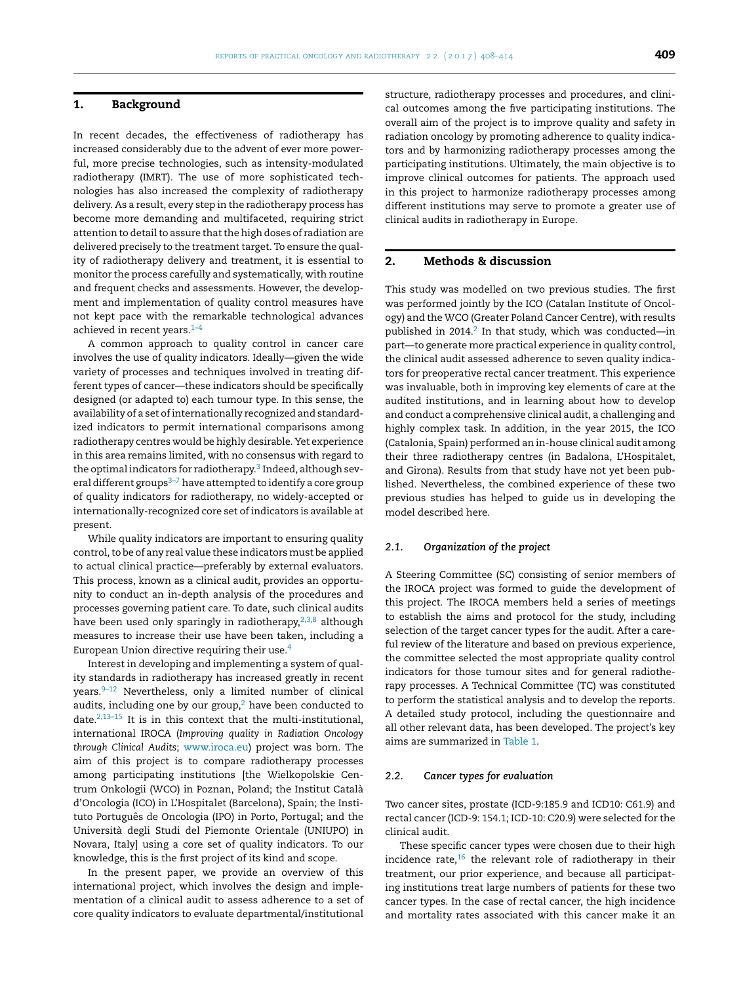# **1. Background**

In recent decades, the effectiveness of radiotherapy has increased considerably due to the advent of ever more powerful, more precise technologies, such as intensity-modulated radiotherapy (IMRT). The use of more sophisticated technologies has also increased the complexity of radiotherapy delivery. As a result, every step in the radiotherapy process has become more demanding and multifaceted, requiring strict attention to detail to assure that the high doses of radiation are delivered precisely to the treatment target. To ensure the quality of radiotherapy delivery and treatment, it is essential to monitor the process carefully and systematically, with routine and frequent checks and assessments. However, the development and implementation of quality control measures have not kept pace with the remarkable technological advances achieved in recent years. $1-4$ 

A common approach to quality control in cancer care involves the use of quality indicators. Ideally—given the wide variety of processes and techniques involved in treating different types of cancer—these indicators should be specifically designed (or adapted to) each tumour type. In this sense, the availability of a set of internationally recognized and standardized indicators to permit international comparisons among radiotherapy centres would be highly desirable. Yet experience in this area remains limited, with no consensus with regard to the optimal indicators for radiotherapy. $3$  [In](#page-5-0)deed, although several different groups $3-7$  have attempted to identify a core group of quality indicators for radiotherapy, no widely-accepted or internationally-recognized core set of indicators is available at present.

While quality indicators are important to ensuring quality control, to be of any real value these indicators must be applied to actual clinical practice—preferably by external evaluators. This process, known as a clinical audit, provides an opportunity to conduct an in-depth analysis of the procedures and processes governing patient care. To date, such clinical audits have been used only sparingly in radiotherapy, $2,3,8$  although measures to increase their use have been taken, including a European Union directive requiring their use[.4](#page-5-0)

Interest in developing and implementing a system of quality standards in radiotherapy has increased greatly in recent  $years.<sup>9-12</sup> Nevertheless, only a limited number of clinical$ audits, including one by our group, $2$  have been conducted to date. $2,13-15$  It is in this context that the multi-institutional, international IROCA (*Improving quality in Radiation Oncology through Clinical Audits*; [www.iroca.eu](http://www.iroca.eu/)) project was born. The aim of this project is to compare radiotherapy processes among participating institutions [the Wielkopolskie Centrum Onkologii (WCO) in Poznan, Poland; the Institut Català d'Oncologia (ICO) in L'Hospitalet (Barcelona), Spain; the Instituto Português de Oncologia (IPO) in Porto, Portugal; and the Università degli Studi del Piemonte Orientale (UNIUPO) in Novara, Italy] using a core set of quality indicators. To our knowledge, this is the first project of its kind and scope.

In the present paper, we provide an overview of this international project, which involves the design and implementation of a clinical audit to assess adherence to a set of core quality indicators to evaluate departmental/institutional structure, radiotherapy processes and procedures, and clinical outcomes among the five participating institutions. The overall aim of the project is to improve quality and safety in radiation oncology by promoting adherence to quality indicators and by harmonizing radiotherapy processes among the participating institutions. Ultimately, the main objective is to improve clinical outcomes for patients. The approach used in this project to harmonize radiotherapy processes among different institutions may serve to promote a greater use of clinical audits in radiotherapy in Europe.

## **2. Methods & discussion**

This study was modelled on two previous studies. The first was performed jointly by the ICO (Catalan Institute of Oncology) and the WCO (Greater Poland Cancer Centre), with results published in [2](#page-5-0)014. $^2$  In that study, which was conducted—in part—to generate more practical experience in quality control, the clinical audit assessed adherence to seven quality indicators for preoperative rectal cancer treatment. This experience was invaluable, both in improving key elements of care at the audited institutions, and in learning about how to develop and conduct a comprehensive clinical audit, a challenging and highly complex task. In addition, in the year 2015, the ICO (Catalonia, Spain) performed an in-house clinical audit among their three radiotherapy centres (in Badalona, L'Hospitalet, and Girona). Results from that study have not yet been published. Nevertheless, the combined experience of these two previous studies has helped to guide us in developing the model described here.

#### *2.1. Organization of the project*

A Steering Committee (SC) consisting of senior members of the IROCA project was formed to guide the development of this project. The IROCA members held a series of meetings to establish the aims and protocol for the study, including selection of the target cancer types for the audit. After a careful review of the literature and based on previous experience, the committee selected the most appropriate quality control indicators for those tumour sites and for general radiotherapy processes. A Technical Committee (TC) was constituted to perform the statistical analysis and to develop the reports. A detailed study protocol, including the questionnaire and all other relevant data, has been developed. The project's key aims are summarized in [Table](#page-2-0) 1.

#### *2.2. Cancer types for evaluation*

Two cancer sites, prostate (ICD-9:185.9 and ICD10: C61.9) and rectal cancer (ICD-9: 154.1; ICD-10: C20.9) were selected for the clinical audit.

These specific cancer types were chosen due to their high incidence rate, $16$  the relevant role of radiotherapy in their treatment, our prior experience, and because all participating institutions treat large numbers of patients for these two cancer types. In the case of rectal cancer, the high incidence and mortality rates associated with this cancer make it an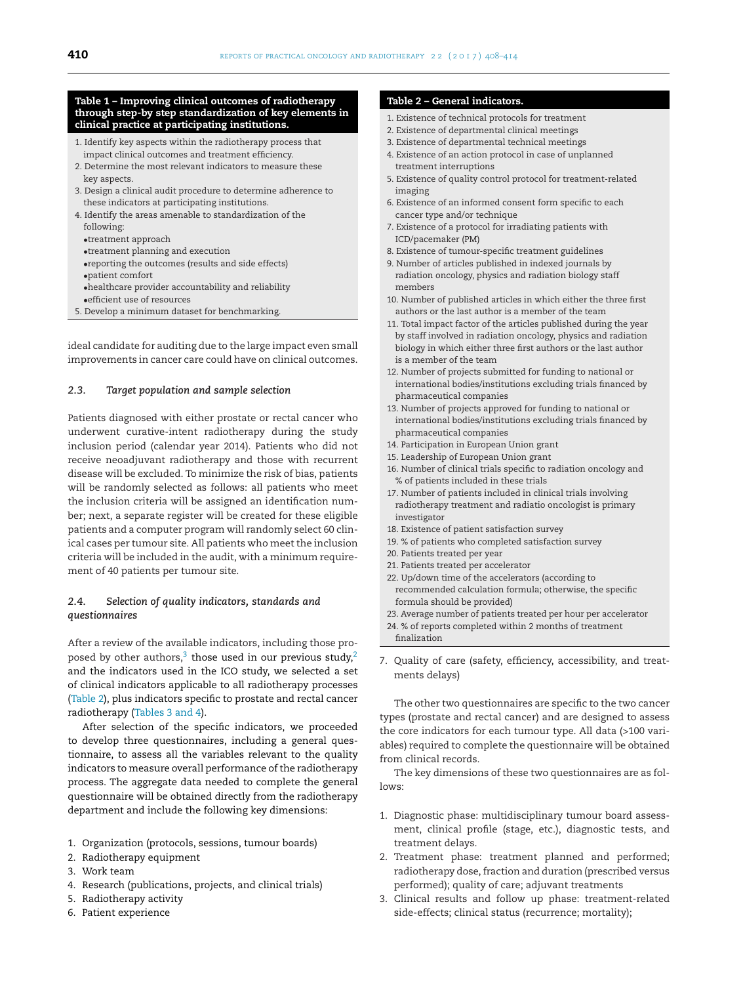## <span id="page-2-0"></span>**Table 1 – Improving clinical outcomes of radiotherapy through step-by step standardization of key elements in clinical practice at participating institutions.**

- 1. Identify key aspects within the radiotherapy process that impact clinical outcomes and treatment efficiency.
- 2. Determine the most relevant indicators to measure these key aspects.
- 3. Design a clinical audit procedure to determine adherence to these indicators at participating institutions.
- 4. Identify the areas amenable to standardization of the following:
	- •treatment approach
	- •treatment planning and execution
	- •reporting the outcomes (results and side effects)
	- •patient comfort
	- •healthcare provider accountability and reliability •efficient use of resources
- 5. Develop a minimum dataset for benchmarking.

ideal candidate for auditing due to the large impact even small improvements in cancer care could have on clinical outcomes.

## *2.3. Target population and sample selection*

Patients diagnosed with either prostate or rectal cancer who underwent curative-intent radiotherapy during the study inclusion period (calendar year 2014). Patients who did not receive neoadjuvant radiotherapy and those with recurrent disease will be excluded. To minimize the risk of bias, patients will be randomly selected as follows: all patients who meet the inclusion criteria will be assigned an identification number; next, a separate register will be created for these eligible patients and a computer program will randomly select 60 clinical cases per tumour site. All patients who meet the inclusion criteria will be included in the audit, with a minimum requirement of 40 patients per tumour site.

# *2.4. Selection of quality indicators, standards and questionnaires*

After a review of the available indicators, including those pro-posed by other authors,<sup>3</sup> those used in our previous study,<sup>[2](#page-5-0)</sup> and the indicators used in the ICO study, we selected a set of clinical indicators applicable to all radiotherapy processes (Table 2), plus indicators specific to prostate and rectal cancer radiotherapy [\(Tables](#page-3-0) 3 and 4).

After selection of the specific indicators, we proceeded to develop three questionnaires, including a general questionnaire, to assess all the variables relevant to the quality indicators to measure overall performance of the radiotherapy process. The aggregate data needed to complete the general questionnaire will be obtained directly from the radiotherapy department and include the following key dimensions:

- 1. Organization (protocols, sessions, tumour boards)
- 2. Radiotherapy equipment
- 3. Work team
- 4. Research (publications, projects, and clinical trials)
- 5. Radiotherapy activity
- 6. Patient experience

# **Table 2 – General indicators.**

- 1. Existence of technical protocols for treatment
- 2. Existence of departmental clinical meetings
- 3. Existence of departmental technical meetings
- 4. Existence of an action protocol in case of unplanned treatment interruptions
- 5. Existence of quality control protocol for treatment-related imaging
- 6. Existence of an informed consent form specific to each cancer type and/or technique
- 7. Existence of a protocol for irradiating patients with ICD/pacemaker (PM)
- 8. Existence of tumour-specific treatment guidelines
- 9. Number of articles published in indexed journals by radiation oncology, physics and radiation biology staff members
- 10. Number of published articles in which either the three first authors or the last author is a member of the team
- 11. Total impact factor of the articles published during the year by staff involved in radiation oncology, physics and radiation biology in which either three first authors or the last author is a member of the team
- 12. Number of projects submitted for funding to national or international bodies/institutions excluding trials financed by pharmaceutical companies
- 13. Number of projects approved for funding to national or international bodies/institutions excluding trials financed by pharmaceutical companies
- 14. Participation in European Union grant
- 15. Leadership of European Union grant
- 16. Number of clinical trials specific to radiation oncology and % of patients included in these trials
- 17. Number of patients included in clinical trials involving radiotherapy treatment and radiatio oncologist is primary investigator
- 18. Existence of patient satisfaction survey
- 19. % of patients who completed satisfaction survey
- 20. Patients treated per year
- 21. Patients treated per accelerator
- 22. Up/down time of the accelerators (according to recommended calculation formula; otherwise, the specific formula should be provided)
- 23. Average number of patients treated per hour per accelerator
- 24. % of reports completed within 2 months of treatment finalization
- 7. Quality of care (safety, efficiency, accessibility, and treatments delays)

The other two questionnaires are specific to the two cancer types (prostate and rectal cancer) and are designed to assess the core indicators for each tumour type. All data (>100 variables) required to complete the questionnaire will be obtained from clinical records.

The key dimensions of these two questionnaires are as follows:

- 1. Diagnostic phase: multidisciplinary tumour board assessment, clinical profile (stage, etc.), diagnostic tests, and treatment delays.
- 2. Treatment phase: treatment planned and performed; radiotherapy dose, fraction and duration (prescribed versus performed); quality of care; adjuvant treatments
- 3. Clinical results and follow up phase: treatment-related side-effects; clinical status (recurrence; mortality);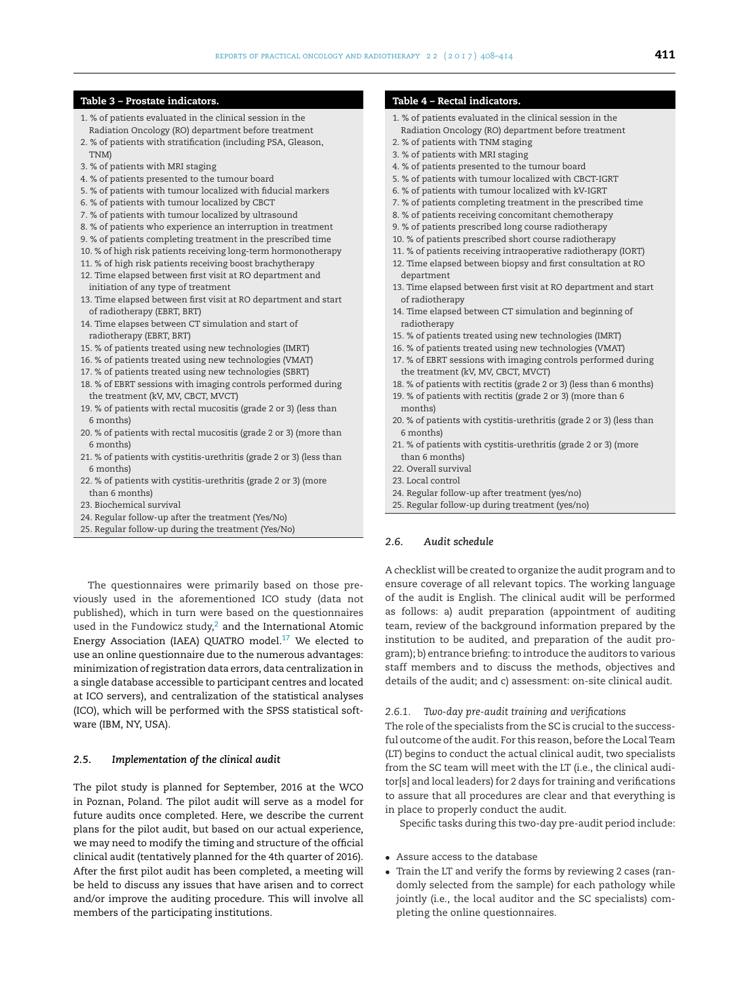#### <span id="page-3-0"></span>**Table 3 – Prostate indicators.**

- 1. % of patients evaluated in the clinical session in the Radiation Oncology (RO) department before treatment
- 2. % of patients with stratification (including PSA, Gleason, TNM)
- 3. % of patients with MRI staging
- 4. % of patients presented to the tumour board
- 5. % of patients with tumour localized with fiducial markers
- 6. % of patients with tumour localized by CBCT
- 7. % of patients with tumour localized by ultrasound
- 8. % of patients who experience an interruption in treatment
- 9. % of patients completing treatment in the prescribed time
- 10. % of high risk patients receiving long-term hormonotherapy
- 11. % of high risk patients receiving boost brachytherapy
- 12. Time elapsed between first visit at RO department and initiation of any type of treatment
- 13. Time elapsed between first visit at RO department and start of radiotherapy (EBRT, BRT)
- 14. Time elapses between CT simulation and start of radiotherapy (EBRT, BRT)
- 15. % of patients treated using new technologies (IMRT)
- 16. % of patients treated using new technologies (VMAT)
- 17. % of patients treated using new technologies (SBRT)
- 18. % of EBRT sessions with imaging controls performed during the treatment (kV, MV, CBCT, MVCT)
- 19. % of patients with rectal mucositis (grade 2 or 3) (less than 6 months)
- 20. % of patients with rectal mucositis (grade 2 or 3) (more than 6 months)
- 21. % of patients with cystitis-urethritis (grade 2 or 3) (less than 6 months)
- 22. % of patients with cystitis-urethritis (grade 2 or 3) (more than 6 months)
- 23. Biochemical survival
- 24. Regular follow-up after the treatment (Yes/No)
- 25. Regular follow-up during the treatment (Yes/No)

The questionnaires were primarily based on those previously used in the aforementioned ICO study (data not published), which in turn were based on the questionnaires used in the Fundowicz study, $2$  and the International Atomic Energy Association (IAEA) QUATRO model. $17$  We elected to use an online questionnaire due to the numerous advantages: minimization of registration data errors, data centralization in a single database accessible to participant centres and located at ICO servers), and centralization of the statistical analyses (ICO), which will be performed with the SPSS statistical software (IBM, NY, USA).

## *2.5. Implementation of the clinical audit*

The pilot study is planned for September, 2016 at the WCO in Poznan, Poland. The pilot audit will serve as a model for future audits once completed. Here, we describe the current plans for the pilot audit, but based on our actual experience, we may need to modify the timing and structure of the official clinical audit (tentatively planned for the 4th quarter of 2016). After the first pilot audit has been completed, a meeting will be held to discuss any issues that have arisen and to correct and/or improve the auditing procedure. This will involve all members of the participating institutions.

## **Table 4 – Rectal indicators.**

- 1. % of patients evaluated in the clinical session in the Radiation Oncology (RO) department before treatment
- 2. % of patients with TNM staging
- 3. % of patients with MRI staging
- 4. % of patients presented to the tumour board
- 5. % of patients with tumour localized with CBCT-IGRT
- 6. % of patients with tumour localized with kV-IGRT
- 7. % of patients completing treatment in the prescribed time
- 8. % of patients receiving concomitant chemotherapy
- 9. % of patients prescribed long course radiotherapy
- 10. % of patients prescribed short course radiotherapy
- 11. % of patients receiving intraoperative radiotherapy (IORT)
- 12. Time elapsed between biopsy and first consultation at RO department
- 13. Time elapsed between first visit at RO department and start of radiotherapy
- 14. Time elapsed between CT simulation and beginning of radiotherapy
- 15. % of patients treated using new technologies (IMRT)
- 16. % of patients treated using new technologies (VMAT)
- 17. % of EBRT sessions with imaging controls performed during the treatment (kV, MV, CBCT, MVCT)
- 18. % of patients with rectitis (grade 2 or 3) (less than 6 months)
- 19. % of patients with rectitis (grade 2 or 3) (more than 6 months)
- 20. % of patients with cystitis-urethritis (grade 2 or 3) (less than 6 months)
- 21. % of patients with cystitis-urethritis (grade 2 or 3) (more than 6 months)
- 22. Overall survival
- 23. Local control
- 24. Regular follow-up after treatment (yes/no)
- 25. Regular follow-up during treatment (yes/no)

#### *2.6. Audit schedule*

A checklist will be created to organize the audit program and to ensure coverage of all relevant topics. The working language of the audit is English. The clinical audit will be performed as follows: a) audit preparation (appointment of auditing team, review of the background information prepared by the institution to be audited, and preparation of the audit program); b) entrance briefing: to introduce the auditors to various staff members and to discuss the methods, objectives and details of the audit; and c) assessment: on-site clinical audit.

#### *2.6.1. Two-day pre-audit training and verifications*

The role of the specialists from the SC is crucial to the successful outcome of the audit. For this reason, before the Local Team (LT) begins to conduct the actual clinical audit, two specialists from the SC team will meet with the LT (i.e., the clinical auditor[s] and local leaders) for 2 days for training and verifications to assure that all procedures are clear and that everything is in place to properly conduct the audit.

Specific tasks during this two-day pre-audit period include:

- Assure access to the database
- Train the LT and verify the forms by reviewing 2 cases (randomly selected from the sample) for each pathology while jointly (i.e., the local auditor and the SC specialists) completing the online questionnaires.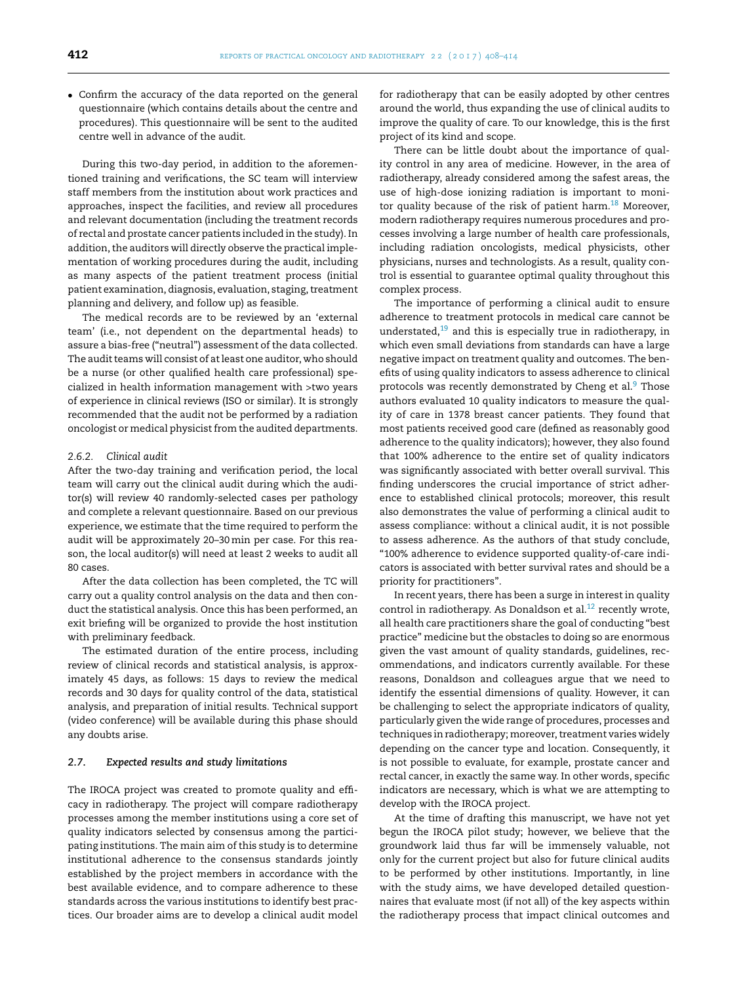• Confirm the accuracy of the data reported on the general questionnaire (which contains details about the centre and procedures). This questionnaire will be sent to the audited centre well in advance of the audit.

During this two-day period, in addition to the aforementioned training and verifications, the SC team will interview staff members from the institution about work practices and approaches, inspect the facilities, and review all procedures and relevant documentation (including the treatment records of rectal and prostate cancer patients included in the study). In addition, the auditors will directly observe the practical implementation of working procedures during the audit, including as many aspects of the patient treatment process (initial patient examination, diagnosis, evaluation, staging, treatment planning and delivery, and follow up) as feasible.

The medical records are to be reviewed by an 'external team' (i.e., not dependent on the departmental heads) to assure a bias-free ("neutral") assessment of the data collected. The audit teams will consist of at least one auditor, who should be a nurse (or other qualified health care professional) specialized in health information management with >two years of experience in clinical reviews (ISO or similar). It is strongly recommended that the audit not be performed by a radiation oncologist or medical physicist from the audited departments.

#### *2.6.2. Clinical audit*

After the two-day training and verification period, the local team will carry out the clinical audit during which the auditor(s) will review 40 randomly-selected cases per pathology and complete a relevant questionnaire. Based on our previous experience, we estimate that the time required to perform the audit will be approximately 20–30min per case. For this reason, the local auditor(s) will need at least 2 weeks to audit all 80 cases.

After the data collection has been completed, the TC will carry out a quality control analysis on the data and then conduct the statistical analysis. Once this has been performed, an exit briefing will be organized to provide the host institution with preliminary feedback.

The estimated duration of the entire process, including review of clinical records and statistical analysis, is approximately 45 days, as follows: 15 days to review the medical records and 30 days for quality control of the data, statistical analysis, and preparation of initial results. Technical support (video conference) will be available during this phase should any doubts arise.

# *2.7. Expected results and study limitations*

The IROCA project was created to promote quality and efficacy in radiotherapy. The project will compare radiotherapy processes among the member institutions using a core set of quality indicators selected by consensus among the participating institutions. The main aim of this study is to determine institutional adherence to the consensus standards jointly established by the project members in accordance with the best available evidence, and to compare adherence to these standards across the various institutions to identify best practices. Our broader aims are to develop a clinical audit model

for radiotherapy that can be easily adopted by other centres around the world, thus expanding the use of clinical audits to improve the quality of care. To our knowledge, this is the first project of its kind and scope.

There can be little doubt about the importance of quality control in any area of medicine. However, in the area of radiotherapy, already considered among the safest areas, the use of high-dose ionizing radiation is important to monitor quality because of the risk of patient harm. $18$  Moreover, modern radiotherapy requires numerous procedures and processes involving a large number of health care professionals, including radiation oncologists, medical physicists, other physicians, nurses and technologists. As a result, quality control is essential to guarantee optimal quality throughout this complex process.

The importance of performing a clinical audit to ensure adherence to treatment protocols in medical care cannot be understated, $19$  and this is especially true in radiotherapy, in which even small deviations from standards can have a large negative impact on treatment quality and outcomes. The benefits of using quality indicators to assess adherence to clinical protocols was recently demonstrated by Cheng et al.<sup>9</sup> Those authors evaluated 10 quality indicators to measure the quality of care in 1378 breast cancer patients. They found that most patients received good care (defined as reasonably good adherence to the quality indicators); however, they also found that 100% adherence to the entire set of quality indicators was significantly associated with better overall survival. This finding underscores the crucial importance of strict adherence to established clinical protocols; moreover, this result also demonstrates the value of performing a clinical audit to assess compliance: without a clinical audit, it is not possible to assess adherence. As the authors of that study conclude, "100% adherence to evidence supported quality-of-care indicators is associated with better survival rates and should be a priority for practitioners".

In recent years, there has been a surge in interest in quality control in radiotherapy. As Donaldson et al. $^{12}$  recently wrote, all health care practitioners share the goal of conducting "best practice" medicine but the obstacles to doing so are enormous given the vast amount of quality standards, guidelines, recommendations, and indicators currently available. For these reasons, Donaldson and colleagues argue that we need to identify the essential dimensions of quality. However, it can be challenging to select the appropriate indicators of quality, particularly given the wide range of procedures, processes and techniques in radiotherapy; moreover, treatment varies widely depending on the cancer type and location. Consequently, it is not possible to evaluate, for example, prostate cancer and rectal cancer, in exactly the same way. In other words, specific indicators are necessary, which is what we are attempting to develop with the IROCA project.

At the time of drafting this manuscript, we have not yet begun the IROCA pilot study; however, we believe that the groundwork laid thus far will be immensely valuable, not only for the current project but also for future clinical audits to be performed by other institutions. Importantly, in line with the study aims, we have developed detailed questionnaires that evaluate most (if not all) of the key aspects within the radiotherapy process that impact clinical outcomes and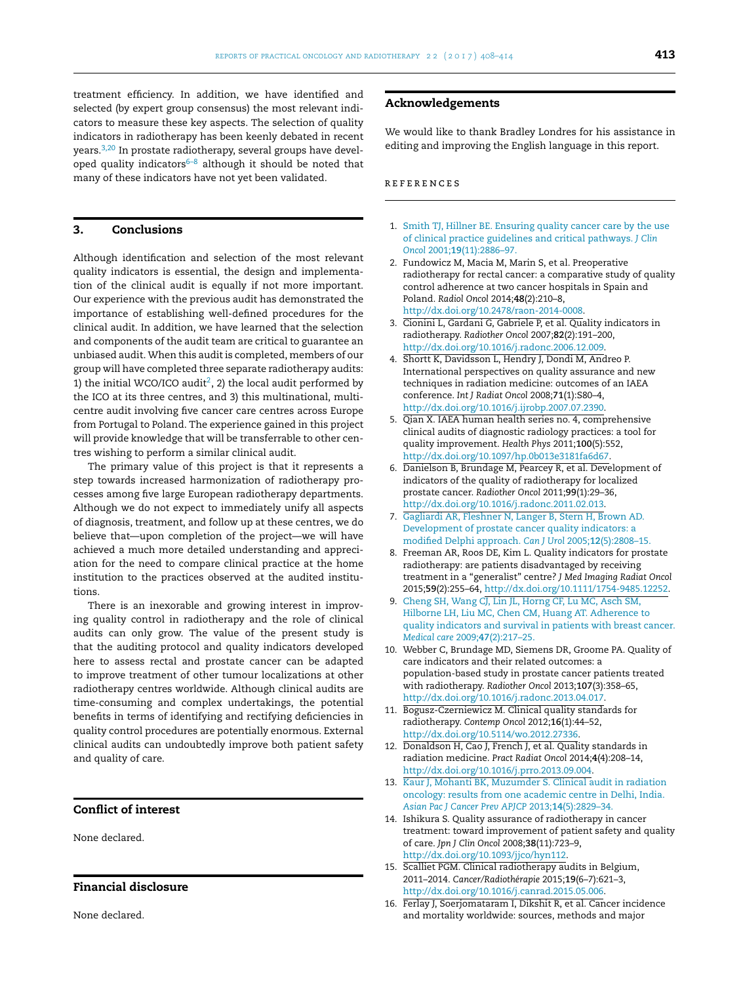<span id="page-5-0"></span>treatment efficiency. In addition, we have identified and selected (by expert group consensus) the most relevant indicators to measure these key aspects. The selection of quality indicators in radiotherapy has been keenly debated in recent years.<sup>3,20</sup> In prostate radiotherapy, several groups have developed quality indicators<sup>6–8</sup> although it should be noted that many of these indicators have not yet been validated.

# **3. Conclusions**

Although identification and selection of the most relevant quality indicators is essential, the design and implementation of the clinical audit is equally if not more important. Our experience with the previous audit has demonstrated the importance of establishing well-defined procedures for the clinical audit. In addition, we have learned that the selection and components of the audit team are critical to guarantee an unbiased audit. When this audit is completed, members of our group will have completed three separate radiotherapy audits: 1) the initial WCO/ICO audit<sup>2</sup>, 2) the local audit performed by the ICO at its three centres, and 3) this multinational, multicentre audit involving five cancer care centres across Europe from Portugal to Poland. The experience gained in this project will provide knowledge that will be transferrable to other centres wishing to perform a similar clinical audit.

The primary value of this project is that it represents a step towards increased harmonization of radiotherapy processes among five large European radiotherapy departments. Although we do not expect to immediately unify all aspects of diagnosis, treatment, and follow up at these centres, we do believe that—upon completion of the project—we will have achieved a much more detailed understanding and appreciation for the need to compare clinical practice at the home institution to the practices observed at the audited institutions.

There is an inexorable and growing interest in improving quality control in radiotherapy and the role of clinical audits can only grow. The value of the present study is that the auditing protocol and quality indicators developed here to assess rectal and prostate cancer can be adapted to improve treatment of other tumour localizations at other radiotherapy centres worldwide. Although clinical audits are time-consuming and complex undertakings, the potential benefits in terms of identifying and rectifying deficiencies in quality control procedures are potentially enormous. External clinical audits can undoubtedly improve both patient safety and quality of care.

# **Conflict of interest**

None declared.

# **Financial disclosure**

None declared.

#### **Acknowledgements**

We would like to thank Bradley Londres for his assistance in editing and improving the English language in this report.

## **REFERENCES**

- 1. [Smith](http://refhub.elsevier.com/S1507-1367(16)30054-2/sbref0110) [TJ,](http://refhub.elsevier.com/S1507-1367(16)30054-2/sbref0110) [Hillner](http://refhub.elsevier.com/S1507-1367(16)30054-2/sbref0110) [BE.](http://refhub.elsevier.com/S1507-1367(16)30054-2/sbref0110) [Ensuring](http://refhub.elsevier.com/S1507-1367(16)30054-2/sbref0110) [quality](http://refhub.elsevier.com/S1507-1367(16)30054-2/sbref0110) [cancer](http://refhub.elsevier.com/S1507-1367(16)30054-2/sbref0110) [care](http://refhub.elsevier.com/S1507-1367(16)30054-2/sbref0110) [by](http://refhub.elsevier.com/S1507-1367(16)30054-2/sbref0110) [the](http://refhub.elsevier.com/S1507-1367(16)30054-2/sbref0110) [use](http://refhub.elsevier.com/S1507-1367(16)30054-2/sbref0110) [of](http://refhub.elsevier.com/S1507-1367(16)30054-2/sbref0110) [clinical](http://refhub.elsevier.com/S1507-1367(16)30054-2/sbref0110) [practice](http://refhub.elsevier.com/S1507-1367(16)30054-2/sbref0110) [guidelines](http://refhub.elsevier.com/S1507-1367(16)30054-2/sbref0110) [and](http://refhub.elsevier.com/S1507-1367(16)30054-2/sbref0110) [critical](http://refhub.elsevier.com/S1507-1367(16)30054-2/sbref0110) [pathways.](http://refhub.elsevier.com/S1507-1367(16)30054-2/sbref0110) *[J](http://refhub.elsevier.com/S1507-1367(16)30054-2/sbref0110) [Clin](http://refhub.elsevier.com/S1507-1367(16)30054-2/sbref0110) [Oncol](http://refhub.elsevier.com/S1507-1367(16)30054-2/sbref0110)* [2001;](http://refhub.elsevier.com/S1507-1367(16)30054-2/sbref0110)**[19](http://refhub.elsevier.com/S1507-1367(16)30054-2/sbref0110)**[\(11\):2886](http://refhub.elsevier.com/S1507-1367(16)30054-2/sbref0110)–[97.](http://refhub.elsevier.com/S1507-1367(16)30054-2/sbref0110)
- 2. Fundowicz M, Macia M, Marin S, et al. Preoperative radiotherapy for rectal cancer: a comparative study of quality control adherence at two cancer hospitals in Spain and Poland. *Radiol Oncol* 2014;**48**(2):210–8, [http://dx.doi.org/10.2478/raon-2014-0008.](dx.doi.org/10.2478/raon-2014-0008)
- 3. Cionini L, Gardani G, Gabriele P, et al. Quality indicators in radiotherapy. *Radiother Oncol* 2007;**82**(2):191–200, [http://dx.doi.org/10.1016/j.radonc.2006.12.009](dx.doi.org/10.1016/j.radonc.2006.12.009).
- 4. Shortt K, Davidsson L, Hendry J, Dondi M, Andreo P. International perspectives on quality assurance and new techniques in radiation medicine: outcomes of an IAEA conference. *Int J Radiat Oncol* 2008;**71**(1):S80–4, [http://dx.doi.org/10.1016/j.ijrobp.2007.07.2390](dx.doi.org/10.1016/j.ijrobp.2007.07.2390).
- 5. Qian X. IAEA human health series no. 4, comprehensive clinical audits of diagnostic radiology practices: a tool for quality improvement. *Health Phys* 2011;**100**(5):552, [http://dx.doi.org/10.1097/hp.0b013e3181fa6d67](dx.doi.org/10.1097/hp.0b013e3181fa6d67).
- 6. Danielson B, Brundage M, Pearcey R, et al. Development of indicators of the quality of radiotherapy for localized prostate cancer. *Radiother Oncol* 2011;**99**(1):29–36, [http://dx.doi.org/10.1016/j.radonc.2011.02.013](dx.doi.org/10.1016/j.radonc.2011.02.013).
- 7. [Gagliardi](http://refhub.elsevier.com/S1507-1367(16)30054-2/sbref0140) [AR,](http://refhub.elsevier.com/S1507-1367(16)30054-2/sbref0140) [Fleshner](http://refhub.elsevier.com/S1507-1367(16)30054-2/sbref0140) [N,](http://refhub.elsevier.com/S1507-1367(16)30054-2/sbref0140) [Langer](http://refhub.elsevier.com/S1507-1367(16)30054-2/sbref0140) [B,](http://refhub.elsevier.com/S1507-1367(16)30054-2/sbref0140) [Stern](http://refhub.elsevier.com/S1507-1367(16)30054-2/sbref0140) [H,](http://refhub.elsevier.com/S1507-1367(16)30054-2/sbref0140) [Brown](http://refhub.elsevier.com/S1507-1367(16)30054-2/sbref0140) [AD.](http://refhub.elsevier.com/S1507-1367(16)30054-2/sbref0140) [Development](http://refhub.elsevier.com/S1507-1367(16)30054-2/sbref0140) [of](http://refhub.elsevier.com/S1507-1367(16)30054-2/sbref0140) [prostate](http://refhub.elsevier.com/S1507-1367(16)30054-2/sbref0140) [cancer](http://refhub.elsevier.com/S1507-1367(16)30054-2/sbref0140) [quality](http://refhub.elsevier.com/S1507-1367(16)30054-2/sbref0140) [indicators:](http://refhub.elsevier.com/S1507-1367(16)30054-2/sbref0140) [a](http://refhub.elsevier.com/S1507-1367(16)30054-2/sbref0140) [modified](http://refhub.elsevier.com/S1507-1367(16)30054-2/sbref0140) [Delphi](http://refhub.elsevier.com/S1507-1367(16)30054-2/sbref0140) [approach.](http://refhub.elsevier.com/S1507-1367(16)30054-2/sbref0140) *[Can](http://refhub.elsevier.com/S1507-1367(16)30054-2/sbref0140) [J](http://refhub.elsevier.com/S1507-1367(16)30054-2/sbref0140) [Urol](http://refhub.elsevier.com/S1507-1367(16)30054-2/sbref0140)* [2005;](http://refhub.elsevier.com/S1507-1367(16)30054-2/sbref0140)**[12](http://refhub.elsevier.com/S1507-1367(16)30054-2/sbref0140)**[\(5\):2808](http://refhub.elsevier.com/S1507-1367(16)30054-2/sbref0140)–[15.](http://refhub.elsevier.com/S1507-1367(16)30054-2/sbref0140)
- 8. Freeman AR, Roos DE, Kim L. Quality indicators for prostate radiotherapy: are patients disadvantaged by receiving treatment in a "generalist" centre? *J Med Imaging Radiat Oncol* 2015;**59**(2):255–64, [http://dx.doi.org/10.1111/1754-9485.12252.](dx.doi.org/10.1111/1754-9485.12252)
- 9. [Cheng](http://refhub.elsevier.com/S1507-1367(16)30054-2/sbref0150) [SH,](http://refhub.elsevier.com/S1507-1367(16)30054-2/sbref0150) [Wang](http://refhub.elsevier.com/S1507-1367(16)30054-2/sbref0150) [CJ,](http://refhub.elsevier.com/S1507-1367(16)30054-2/sbref0150) [Lin](http://refhub.elsevier.com/S1507-1367(16)30054-2/sbref0150) [JL,](http://refhub.elsevier.com/S1507-1367(16)30054-2/sbref0150) [Horng](http://refhub.elsevier.com/S1507-1367(16)30054-2/sbref0150) [CF,](http://refhub.elsevier.com/S1507-1367(16)30054-2/sbref0150) [Lu](http://refhub.elsevier.com/S1507-1367(16)30054-2/sbref0150) [MC,](http://refhub.elsevier.com/S1507-1367(16)30054-2/sbref0150) [Asch](http://refhub.elsevier.com/S1507-1367(16)30054-2/sbref0150) [SM,](http://refhub.elsevier.com/S1507-1367(16)30054-2/sbref0150) [Hilborne](http://refhub.elsevier.com/S1507-1367(16)30054-2/sbref0150) [LH,](http://refhub.elsevier.com/S1507-1367(16)30054-2/sbref0150) [Liu](http://refhub.elsevier.com/S1507-1367(16)30054-2/sbref0150) [MC,](http://refhub.elsevier.com/S1507-1367(16)30054-2/sbref0150) [Chen](http://refhub.elsevier.com/S1507-1367(16)30054-2/sbref0150) [CM,](http://refhub.elsevier.com/S1507-1367(16)30054-2/sbref0150) [Huang](http://refhub.elsevier.com/S1507-1367(16)30054-2/sbref0150) [AT.](http://refhub.elsevier.com/S1507-1367(16)30054-2/sbref0150) [Adherence](http://refhub.elsevier.com/S1507-1367(16)30054-2/sbref0150) [to](http://refhub.elsevier.com/S1507-1367(16)30054-2/sbref0150) [quality](http://refhub.elsevier.com/S1507-1367(16)30054-2/sbref0150) [indicators](http://refhub.elsevier.com/S1507-1367(16)30054-2/sbref0150) [and](http://refhub.elsevier.com/S1507-1367(16)30054-2/sbref0150) [survival](http://refhub.elsevier.com/S1507-1367(16)30054-2/sbref0150) [in](http://refhub.elsevier.com/S1507-1367(16)30054-2/sbref0150) [patients](http://refhub.elsevier.com/S1507-1367(16)30054-2/sbref0150) [with](http://refhub.elsevier.com/S1507-1367(16)30054-2/sbref0150) [breast](http://refhub.elsevier.com/S1507-1367(16)30054-2/sbref0150) [cancer.](http://refhub.elsevier.com/S1507-1367(16)30054-2/sbref0150) *[Medical](http://refhub.elsevier.com/S1507-1367(16)30054-2/sbref0150) [care](http://refhub.elsevier.com/S1507-1367(16)30054-2/sbref0150)* [2009;](http://refhub.elsevier.com/S1507-1367(16)30054-2/sbref0150)**[47](http://refhub.elsevier.com/S1507-1367(16)30054-2/sbref0150)**[\(2\):217–25.](http://refhub.elsevier.com/S1507-1367(16)30054-2/sbref0150)
- 10. Webber C, Brundage MD, Siemens DR, Groome PA. Quality of care indicators and their related outcomes: a population-based study in prostate cancer patients treated with radiotherapy. *Radiother Oncol* 2013;**107**(3):358–65, [http://dx.doi.org/10.1016/j.radonc.2013.04.017](dx.doi.org/10.1016/j.radonc.2013.04.017).
- 11. Bogusz-Czerniewicz M. Clinical quality standards for radiotherapy. *Contemp Oncol* 2012;**16**(1):44–52, [http://dx.doi.org/10.5114/wo.2012.27336.](dx.doi.org/10.5114/wo.2012.27336)
- 12. Donaldson H, Cao J, French J, et al. Quality standards in radiation medicine. *Pract Radiat Oncol* 2014;**4**(4):208–14, [http://dx.doi.org/10.1016/j.prro.2013.09.004](dx.doi.org/10.1016/j.prro.2013.09.004).
- 13. [Kaur](http://refhub.elsevier.com/S1507-1367(16)30054-2/sbref0170) [J,](http://refhub.elsevier.com/S1507-1367(16)30054-2/sbref0170) [Mohanti](http://refhub.elsevier.com/S1507-1367(16)30054-2/sbref0170) [BK,](http://refhub.elsevier.com/S1507-1367(16)30054-2/sbref0170) [Muzumder](http://refhub.elsevier.com/S1507-1367(16)30054-2/sbref0170) [S.](http://refhub.elsevier.com/S1507-1367(16)30054-2/sbref0170) [Clinical](http://refhub.elsevier.com/S1507-1367(16)30054-2/sbref0170) [audit](http://refhub.elsevier.com/S1507-1367(16)30054-2/sbref0170) [in](http://refhub.elsevier.com/S1507-1367(16)30054-2/sbref0170) [radiation](http://refhub.elsevier.com/S1507-1367(16)30054-2/sbref0170) [oncology:](http://refhub.elsevier.com/S1507-1367(16)30054-2/sbref0170) [results](http://refhub.elsevier.com/S1507-1367(16)30054-2/sbref0170) [from](http://refhub.elsevier.com/S1507-1367(16)30054-2/sbref0170) [one](http://refhub.elsevier.com/S1507-1367(16)30054-2/sbref0170) [academic](http://refhub.elsevier.com/S1507-1367(16)30054-2/sbref0170) [centre](http://refhub.elsevier.com/S1507-1367(16)30054-2/sbref0170) [in](http://refhub.elsevier.com/S1507-1367(16)30054-2/sbref0170) [Delhi,](http://refhub.elsevier.com/S1507-1367(16)30054-2/sbref0170) [India.](http://refhub.elsevier.com/S1507-1367(16)30054-2/sbref0170) *[Asian](http://refhub.elsevier.com/S1507-1367(16)30054-2/sbref0170) [Pac](http://refhub.elsevier.com/S1507-1367(16)30054-2/sbref0170) [J](http://refhub.elsevier.com/S1507-1367(16)30054-2/sbref0170) [Cancer](http://refhub.elsevier.com/S1507-1367(16)30054-2/sbref0170) [Prev](http://refhub.elsevier.com/S1507-1367(16)30054-2/sbref0170) [APJCP](http://refhub.elsevier.com/S1507-1367(16)30054-2/sbref0170)* [2013;](http://refhub.elsevier.com/S1507-1367(16)30054-2/sbref0170)**[14](http://refhub.elsevier.com/S1507-1367(16)30054-2/sbref0170)**[\(5\):2829–34.](http://refhub.elsevier.com/S1507-1367(16)30054-2/sbref0170)
- 14. Ishikura S. Quality assurance of radiotherapy in cancer treatment: toward improvement of patient safety and quality of care. *Jpn J Clin Oncol* 2008;**38**(11):723–9, [http://dx.doi.org/10.1093/jjco/hyn112.](dx.doi.org/10.1093/jjco/hyn112)
- 15. Scalliet PGM. Clinical radiotherapy audits in Belgium, 2011–2014. *Cancer/Radiothérapie* 2015;**19**(6–7):621–3, [http://dx.doi.org/10.1016/j.canrad.2015.05.006.](dx.doi.org/10.1016/j.canrad.2015.05.006)
- 16. Ferlay J, Soerjomataram I, Dikshit R, et al. Cancer incidence and mortality worldwide: sources, methods and major